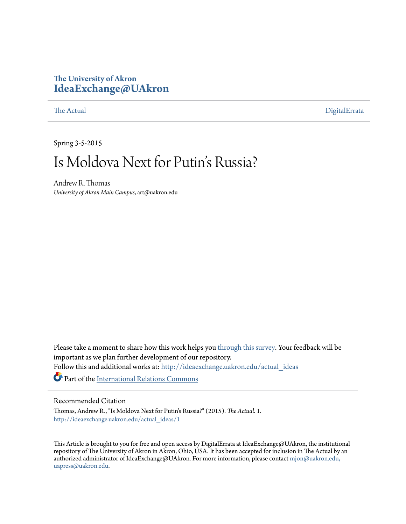# **The University of Akron [IdeaExchange@UAkron](http://ideaexchange.uakron.edu?utm_source=ideaexchange.uakron.edu%2Factual_ideas%2F1&utm_medium=PDF&utm_campaign=PDFCoverPages)**

[The Actual](http://ideaexchange.uakron.edu/actual_ideas?utm_source=ideaexchange.uakron.edu%2Factual_ideas%2F1&utm_medium=PDF&utm_campaign=PDFCoverPages) [DigitalErrata](http://ideaexchange.uakron.edu/digi_ideas?utm_source=ideaexchange.uakron.edu%2Factual_ideas%2F1&utm_medium=PDF&utm_campaign=PDFCoverPages)

Spring 3-5-2015

# Is Moldova Next for Putin's Russia?

Andrew R. Thomas *University of Akron Main Campus*, art@uakron.edu

Please take a moment to share how this work helps you [through this survey.](http://survey.az1.qualtrics.com/SE/?SID=SV_eEVH54oiCbOw05f&URL=http://ideaexchange.uakron.edu/actual_ideas/1) Your feedback will be important as we plan further development of our repository. Follow this and additional works at: [http://ideaexchange.uakron.edu/actual\\_ideas](http://ideaexchange.uakron.edu/actual_ideas?utm_source=ideaexchange.uakron.edu%2Factual_ideas%2F1&utm_medium=PDF&utm_campaign=PDFCoverPages)

Part of the [International Relations Commons](http://network.bepress.com/hgg/discipline/389?utm_source=ideaexchange.uakron.edu%2Factual_ideas%2F1&utm_medium=PDF&utm_campaign=PDFCoverPages)

### Recommended Citation

Thomas, Andrew R., "Is Moldova Next for Putin's Russia?" (2015). *The Actual*. 1. [http://ideaexchange.uakron.edu/actual\\_ideas/1](http://ideaexchange.uakron.edu/actual_ideas/1?utm_source=ideaexchange.uakron.edu%2Factual_ideas%2F1&utm_medium=PDF&utm_campaign=PDFCoverPages)

This Article is brought to you for free and open access by DigitalErrata at IdeaExchange@UAkron, the institutional repository of The University of Akron in Akron, Ohio, USA. It has been accepted for inclusion in The Actual by an authorized administrator of IdeaExchange@UAkron. For more information, please contact [mjon@uakron.edu,](mailto:mjon@uakron.edu,%20uapress@uakron.edu) [uapress@uakron.edu](mailto:mjon@uakron.edu,%20uapress@uakron.edu).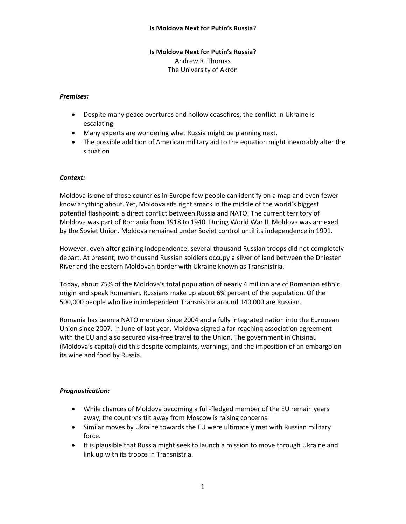# Is Moldova Next for Putin's Russia? Andrew R. Thomas The University of Akron

### Premises:

- Despite many peace overtures and hollow ceasefires, the conflict in Ukraine is escalating.
- Many experts are wondering what Russia might be planning next.
- The possible addition of American military aid to the equation might inexorably alter the situation

# Context:

Moldova is one of those countries in Europe few people can identify on a map and even fewer know anything about. Yet, Moldova sits right smack in the middle of the world's biggest potential flashpoint: a direct conflict between Russia and NATO. The current territory of Moldova was part of Romania from 1918 to 1940. During World War II, Moldova was annexed by the Soviet Union. Moldova remained under Soviet control until its independence in 1991.

However, even after gaining independence, several thousand Russian troops did not completely depart. At present, two thousand Russian soldiers occupy a sliver of land between the Dniester River and the eastern Moldovan border with Ukraine known as Transnistria.

Today, about 75% of the Moldova's total population of nearly 4 million are of Romanian ethnic origin and speak Romanian. Russians make up about 6% percent of the population. Of the 500,000 people who live in independent Transnistria around 140,000 are Russian.

Romania has been a NATO member since 2004 and a fully integrated nation into the European Union since 2007. In June of last year, Moldova signed a far-reaching association agreement with the EU and also secured visa-free travel to the Union. The government in Chisinau (Moldova's capital) did this despite complaints, warnings, and the imposition of an embargo on its wine and food by Russia.

#### Prognostication:

- While chances of Moldova becoming a full-fledged member of the EU remain years away, the country's tilt away from Moscow is raising concerns.
- Similar moves by Ukraine towards the EU were ultimately met with Russian military force.
- It is plausible that Russia might seek to launch a mission to move through Ukraine and link up with its troops in Transnistria.